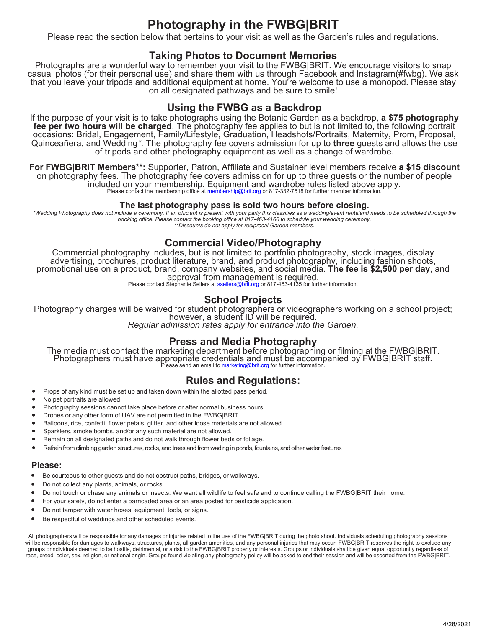# **Photography in the FWBG|BRIT**

Please read the section below that pertains to your visit as well as the Garden's rules and regulations.

### **Taking Photos to Document Memories**

Photographs are a wonderful way to remember your visit to the FWBG|BRIT. We encourage visitors to snap casual photos (for their personal use) and share them with us through Facebook and Instagram (#fwbg). We ask that you leave your tripods and additional equipment at home. You're welcome to use a monopod. Please stay on all designated pathways and be sure to smile!

### **Using the FWBG as a Backdrop**

If the purpose of your visit is to take photographs using the Botanic Garden as a backdrop, **a \$75 photography fee per two hours will be charged**. The photography fee applies to but is not limited to, the following portrait occasions: Bridal, Engagement, Family/Lifestyle, Graduation, Headshots/Portraits, Maternity, Prom, Proposal, Quinceañera, and Wedding*\**. The photography fee covers admission for up to **three** guests and allows the use of tripods and other photography equipment as well as a change of wardrobe.

**For FWBG|BRIT Members\*\*:** Supporter, Patron, Affiliate and Sustainer level members receive **a \$15 discount** on photography fees. The photography fee covers admission for up to three guests or the number of people included on your membership. Equipment and wardrobe rules listed above apply. Please contact the membership office at membership@brit.org or 817-332-7518 for further member information.

#### **The last photography pass is sold two hours before closing.**

\*Wedding Photography does not include a ceremony. If an officiant is present with your party this classifies as a wedding/event rentaland needs to be scheduled through the *booking office. Please contact the booking office at 817-463-4160 to schedule your wedding ceremony. \*\*Discounts do not apply for reciprocal Garden members.* 

### **Commercial Video/Photography**

Commercial photography includes, but is not limited to portfolio photography, stock images, display advertising, brochures, product literature, brand, and product photography, including fashion shoots, promotional use on a product, brand, company websites, and social media. **The fee is \$2,500 per day**, and approval from management is required.<br>Please contact Stephanie Sellers at ssellers@brit.org or 817-463-4135 for further information.

#### **School Projects**

Photography charges will be waived for student photographers or videographers working on a school project;<br>however, a student ID will be required.<br>*Regular admission rates apply for entrance into the Garden.* 

### **Press and Media Photography**

The media must contact the marketing department before photographing or filming at the FWBG|BRIT. Photographers must have appropriate credentials and must be accompanied by FWBG|BRIT staff.<br>Please send an email to <u>marketing@brit.org</u> for further information.

### **Rules and Regulations:**

- Props of any kind must be set up and taken down within the allotted pass period.
- No pet portraits are allowed.
- Photography sessions cannot take place before or after normal business hours.
- Drones or any other form of UAV are not permitted in the FWBG|BRIT.
- Balloons, rice, confetti, flower petals, glitter, and other loose materials are not allowed.
- Sparklers, smoke bombs, and/or any such material are not allowed.
- Remain on all designated paths and do not walk through flower beds or foliage.
- Refrain from climbing garden structures, rocks, and trees and from wading in ponds, fountains, and other water features

#### **Please:**

- Be courteous to other guests and do not obstruct paths, bridges, or walkways.
- Do not collect any plants, animals, or rocks.
- Do not touch or chase any animals or insects. We want all wildlife to feel safe and to continue calling the FWBG|BRIT their home.
- For your safety, do not enter a barricaded area or an area posted for pesticide application.
- Do not tamper with water hoses, equipment, tools, or signs.
- Be respectful of weddings and other scheduled events.

All photographers will be responsible for any damages or injuries related to the use of the FWBG|BRIT during the photo shoot. Individuals scheduling photography sessions will be responsible for damages to walkways, structures, plants, all garden amenities, and any personal injuries that may occur. FWBG|BRIT reserves the right to exclude any groups or individuals deemed to be hostile, detrimental, or a risk to the FWBG|BRIT property or interests. Groups or individuals shall be given equal opportunity regardless of race, creed, color, sex, religion, or national origin. Groups found violating any photography policy will be asked to end their session and will be escorted from the FWBG|BRIT.